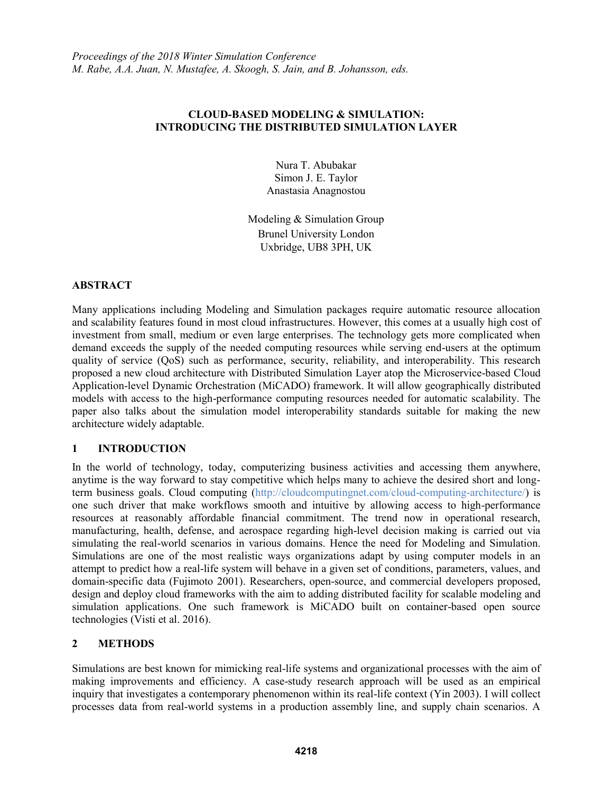## **CLOUD-BASED MODELING & SIMULATION: INTRODUCING THE DISTRIBUTED SIMULATION LAYER**

Nura T. Abubakar Simon J. E. Taylor Anastasia Anagnostou

Modeling & Simulation Group Brunel University London Uxbridge, UB8 3PH, UK

### **ABSTRACT**

Many applications including Modeling and Simulation packages require automatic resource allocation and scalability features found in most cloud infrastructures. However, this comes at a usually high cost of investment from small, medium or even large enterprises. The technology gets more complicated when demand exceeds the supply of the needed computing resources while serving end-users at the optimum quality of service (QoS) such as performance, security, reliability, and interoperability. This research proposed a new cloud architecture with Distributed Simulation Layer atop the Microservice-based Cloud Application-level Dynamic Orchestration (MiCADO) framework. It will allow geographically distributed models with access to the high-performance computing resources needed for automatic scalability. The paper also talks about the simulation model interoperability standards suitable for making the new architecture widely adaptable.

# **1 INTRODUCTION**

In the world of technology, today, computerizing business activities and accessing them anywhere, anytime is the way forward to stay competitive which helps many to achieve the desired short and longterm business goals. Cloud computing (http://cloudcomputingnet.com/cloud-computing-architecture/) is one such driver that make workflows smooth and intuitive by allowing access to high-performance resources at reasonably affordable financial commitment. The trend now in operational research, manufacturing, health, defense, and aerospace regarding high-level decision making is carried out via simulating the real-world scenarios in various domains. Hence the need for Modeling and Simulation. Simulations are one of the most realistic ways organizations adapt by using computer models in an attempt to predict how a real-life system will behave in a given set of conditions, parameters, values, and domain-specific data (Fujimoto 2001). Researchers, open-source, and commercial developers proposed, design and deploy cloud frameworks with the aim to adding distributed facility for scalable modeling and simulation applications. One such framework is MiCADO built on container-based open source technologies (Visti et al. 2016).

## **2 METHODS**

Simulations are best known for mimicking real-life systems and organizational processes with the aim of making improvements and efficiency. A case-study research approach will be used as an empirical inquiry that investigates a contemporary phenomenon within its real-life context (Yin 2003). I will collect processes data from real-world systems in a production assembly line, and supply chain scenarios. A